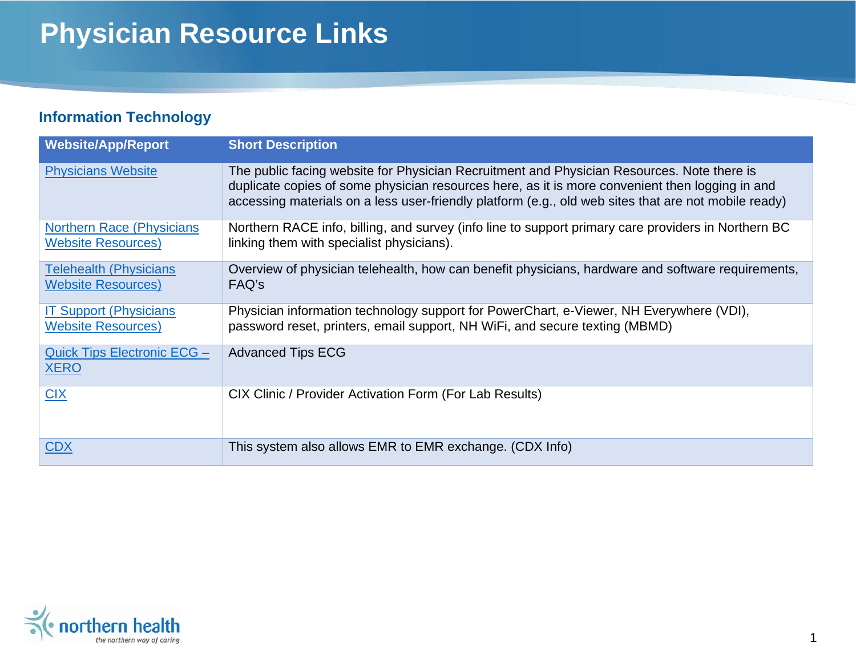# **Physician Resource Links**

### **Information Technology**

| <b>Website/App/Report</b>                                      | <b>Short Description</b>                                                                                                                                                                                                                                                                              |
|----------------------------------------------------------------|-------------------------------------------------------------------------------------------------------------------------------------------------------------------------------------------------------------------------------------------------------------------------------------------------------|
| <b>Physicians Website</b>                                      | The public facing website for Physician Recruitment and Physician Resources. Note there is<br>duplicate copies of some physician resources here, as it is more convenient then logging in and<br>accessing materials on a less user-friendly platform (e.g., old web sites that are not mobile ready) |
| <b>Northern Race (Physicians)</b><br><b>Website Resources)</b> | Northern RACE info, billing, and survey (info line to support primary care providers in Northern BC<br>linking them with specialist physicians).                                                                                                                                                      |
| <b>Telehealth (Physicians</b><br><b>Website Resources)</b>     | Overview of physician telehealth, how can benefit physicians, hardware and software requirements,<br>FAQ's                                                                                                                                                                                            |
| <b>IT Support (Physicians)</b><br><b>Website Resources)</b>    | Physician information technology support for PowerChart, e-Viewer, NH Everywhere (VDI),<br>password reset, printers, email support, NH WiFi, and secure texting (MBMD)                                                                                                                                |
| <b>Quick Tips Electronic ECG -</b><br><b>XERO</b>              | <b>Advanced Tips ECG</b>                                                                                                                                                                                                                                                                              |
| CIX                                                            | CIX Clinic / Provider Activation Form (For Lab Results)                                                                                                                                                                                                                                               |
| <b>CDX</b>                                                     | This system also allows EMR to EMR exchange. (CDX Info)                                                                                                                                                                                                                                               |

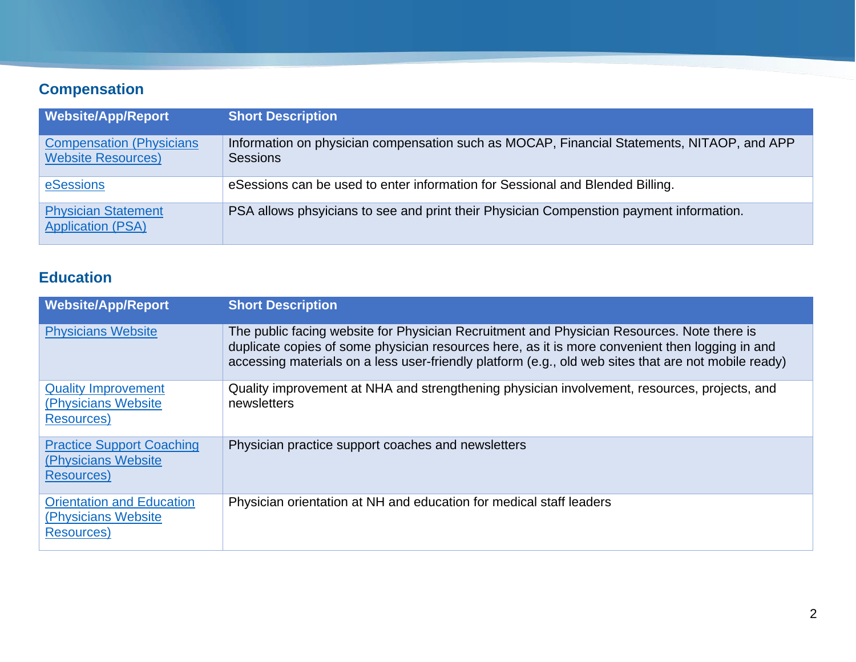# **Compensation**

| <b>Website/App/Report</b>                                     | <b>Short Description</b>                                                                                      |
|---------------------------------------------------------------|---------------------------------------------------------------------------------------------------------------|
| <b>Compensation (Physicians)</b><br><b>Website Resources)</b> | Information on physician compensation such as MOCAP, Financial Statements, NITAOP, and APP<br><b>Sessions</b> |
| eSessions                                                     | eSessions can be used to enter information for Sessional and Blended Billing.                                 |
| <b>Physician Statement</b><br><b>Application (PSA)</b>        | PSA allows phsyicians to see and print their Physician Compenstion payment information.                       |

### **Education**

| <b>Website/App/Report</b>                                              | <b>Short Description</b>                                                                                                                                                                                                                                                                              |
|------------------------------------------------------------------------|-------------------------------------------------------------------------------------------------------------------------------------------------------------------------------------------------------------------------------------------------------------------------------------------------------|
| <b>Physicians Website</b>                                              | The public facing website for Physician Recruitment and Physician Resources. Note there is<br>duplicate copies of some physician resources here, as it is more convenient then logging in and<br>accessing materials on a less user-friendly platform (e.g., old web sites that are not mobile ready) |
| <b>Quality Improvement</b><br>(Physicians Website)<br>Resources)       | Quality improvement at NHA and strengthening physician involvement, resources, projects, and<br>newsletters                                                                                                                                                                                           |
| <b>Practice Support Coaching</b><br>(Physicians Website)<br>Resources) | Physician practice support coaches and newsletters                                                                                                                                                                                                                                                    |
| <b>Orientation and Education</b><br>(Physicians Website)<br>Resources) | Physician orientation at NH and education for medical staff leaders                                                                                                                                                                                                                                   |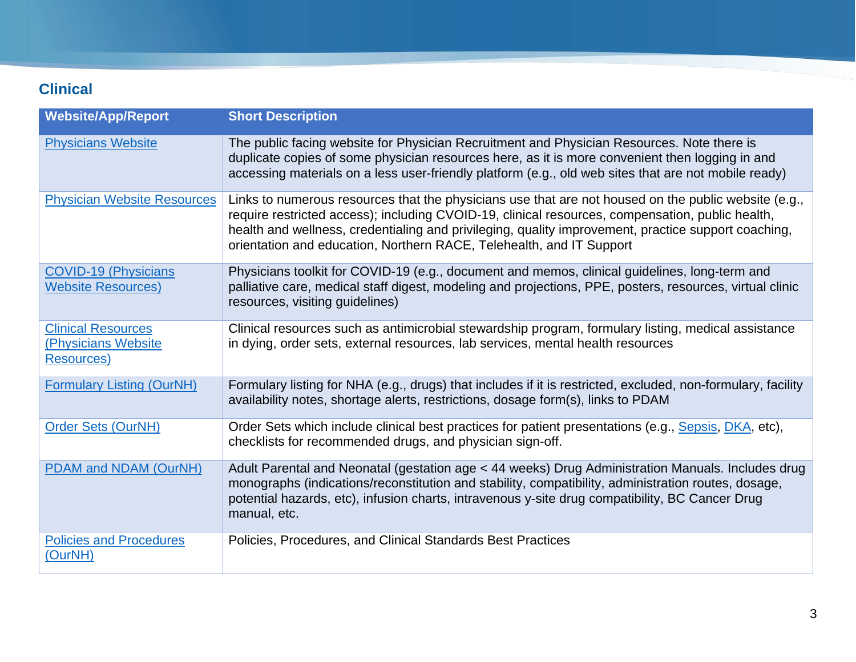# **Clinical**

| <b>Website/App/Report</b>                                      | <b>Short Description</b>                                                                                                                                                                                                                                                                                                                                                                |
|----------------------------------------------------------------|-----------------------------------------------------------------------------------------------------------------------------------------------------------------------------------------------------------------------------------------------------------------------------------------------------------------------------------------------------------------------------------------|
| <b>Physicians Website</b>                                      | The public facing website for Physician Recruitment and Physician Resources. Note there is<br>duplicate copies of some physician resources here, as it is more convenient then logging in and<br>accessing materials on a less user-friendly platform (e.g., old web sites that are not mobile ready)                                                                                   |
| <b>Physician Website Resources</b>                             | Links to numerous resources that the physicians use that are not housed on the public website (e.g.,<br>require restricted access); including CVOID-19, clinical resources, compensation, public health,<br>health and wellness, credentialing and privileging, quality improvement, practice support coaching,<br>orientation and education, Northern RACE, Telehealth, and IT Support |
| <b>COVID-19 (Physicians</b><br><b>Website Resources)</b>       | Physicians toolkit for COVID-19 (e.g., document and memos, clinical guidelines, long-term and<br>palliative care, medical staff digest, modeling and projections, PPE, posters, resources, virtual clinic<br>resources, visiting guidelines)                                                                                                                                            |
| <b>Clinical Resources</b><br>(Physicians Website<br>Resources) | Clinical resources such as antimicrobial stewardship program, formulary listing, medical assistance<br>in dying, order sets, external resources, lab services, mental health resources                                                                                                                                                                                                  |
| <b>Formulary Listing (OurNH)</b>                               | Formulary listing for NHA (e.g., drugs) that includes if it is restricted, excluded, non-formulary, facility<br>availability notes, shortage alerts, restrictions, dosage form(s), links to PDAM                                                                                                                                                                                        |
| <b>Order Sets (OurNH)</b>                                      | Order Sets which include clinical best practices for patient presentations (e.g., Sepsis, DKA, etc),<br>checklists for recommended drugs, and physician sign-off.                                                                                                                                                                                                                       |
| PDAM and NDAM (OurNH)                                          | Adult Parental and Neonatal (gestation age < 44 weeks) Drug Administration Manuals. Includes drug<br>monographs (indications/reconstitution and stability, compatibility, administration routes, dosage,<br>potential hazards, etc), infusion charts, intravenous y-site drug compatibility, BC Cancer Drug<br>manual, etc.                                                             |
| <b>Policies and Procedures</b><br>(OurNH)                      | Policies, Procedures, and Clinical Standards Best Practices                                                                                                                                                                                                                                                                                                                             |